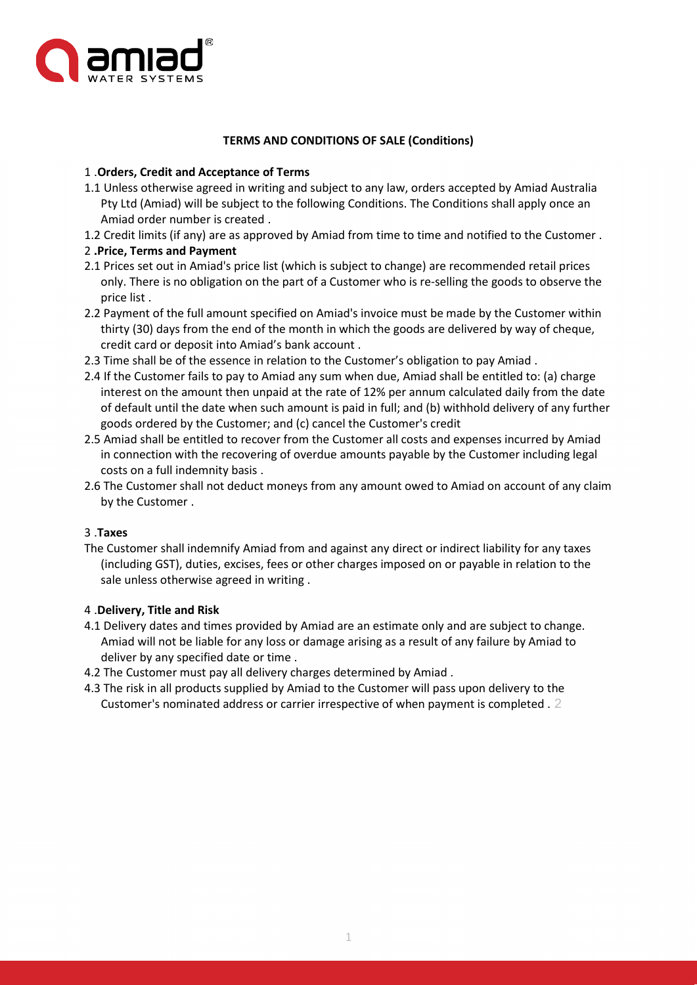

## **TERMS AND CONDITIONS OF SALE (Conditions)**

## 1 .**Orders, Credit and Acceptance of Terms**

- 1.1 Unless otherwise agreed in writing and subject to any law, orders accepted by Amiad Australia Pty Ltd (Amiad) will be subject to the following Conditions. The Conditions shall apply once an Amiad order number is created .
- 1.2 Credit limits (if any) are as approved by Amiad from time to time and notified to the Customer .

## 2 **.Price, Terms and Payment**

- 2.1 Prices set out in Amiad's price list (which is subject to change) are recommended retail prices only. There is no obligation on the part of a Customer who is re-selling the goods to observe the price list .
- 2.2 Payment of the full amount specified on Amiad's invoice must be made by the Customer within thirty (30) days from the end of the month in which the goods are delivered by way of cheque, credit card or deposit into Amiad's bank account .
- 2.3 Time shall be of the essence in relation to the Customer's obligation to pay Amiad .
- 2.4 If the Customer fails to pay to Amiad any sum when due, Amiad shall be entitled to: (a) charge interest on the amount then unpaid at the rate of 12% per annum calculated daily from the date of default until the date when such amount is paid in full; and (b) withhold delivery of any further goods ordered by the Customer; and (c) cancel the Customer's credit
- 2.5 Amiad shall be entitled to recover from the Customer all costs and expenses incurred by Amiad in connection with the recovering of overdue amounts payable by the Customer including legal costs on a full indemnity basis .
- 2.6 The Customer shall not deduct moneys from any amount owed to Amiad on account of any claim by the Customer .

# 3 .**Taxes**

The Customer shall indemnify Amiad from and against any direct or indirect liability for any taxes (including GST), duties, excises, fees or other charges imposed on or payable in relation to the sale unless otherwise agreed in writing .

### 4 .**Delivery, Title and Risk**

- 4.1 Delivery dates and times provided by Amiad are an estimate only and are subject to change. Amiad will not be liable for any loss or damage arising as a result of any failure by Amiad to deliver by any specified date or time .
- 4.2 The Customer must pay all delivery charges determined by Amiad .
- 4.3 The risk in all products supplied by Amiad to the Customer will pass upon delivery to the Customer's nominated address or carrier irrespective of when payment is completed . 2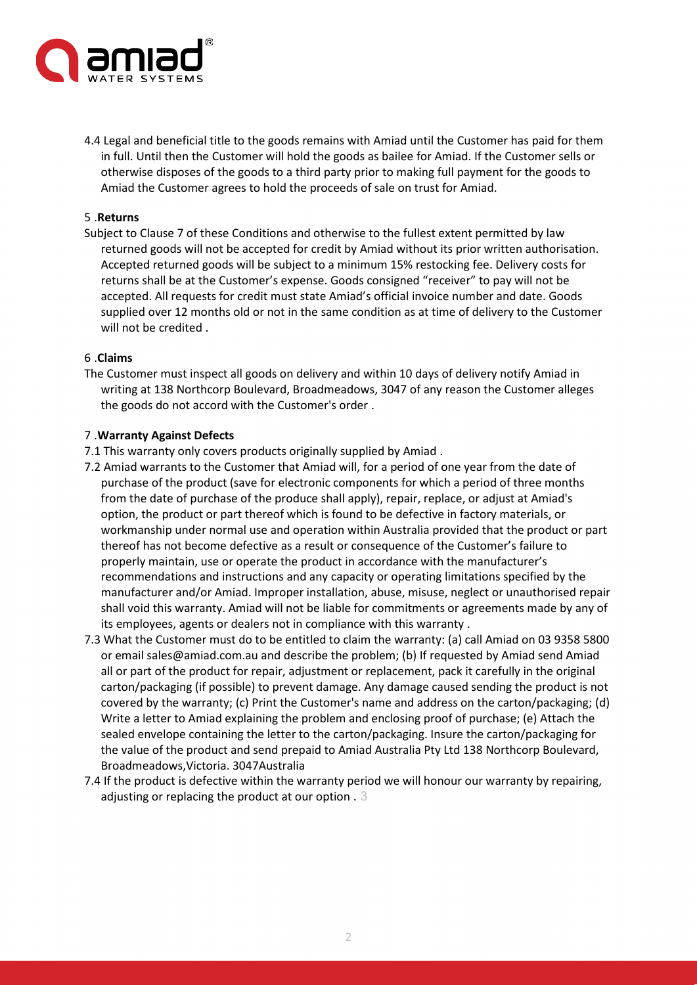

4.4 Legal and beneficial title to the goods remains with Amiad until the Customer has paid for them in full. Until then the Customer will hold the goods as bailee for Amiad. If the Customer sells or otherwise disposes of the goods to a third party prior to making full payment for the goods to Amiad the Customer agrees to hold the proceeds of sale on trust for Amiad.

#### 5 .**Returns**

Subject to Clause 7 of these Conditions and otherwise to the fullest extent permitted by law returned goods will not be accepted for credit by Amiad without its prior written authorisation. Accepted returned goods will be subject to a minimum 15% restocking fee. Delivery costs for returns shall be at the Customer's expense. Goods consigned "receiver" to pay will not be accepted. All requests for credit must state Amiad's official invoice number and date. Goods supplied over 12 months old or not in the same condition as at time of delivery to the Customer will not be credited .

#### 6 .**Claims**

The Customer must inspect all goods on delivery and within 10 days of delivery notify Amiad in writing at 138 Northcorp Boulevard, Broadmeadows, 3047 of any reason the Customer alleges the goods do not accord with the Customer's order .

#### 7 .**Warranty Against Defects**

- 7.1 This warranty only covers products originally supplied by Amiad .
- 7.2 Amiad warrants to the Customer that Amiad will, for a period of one year from the date of purchase of the product (save for electronic components for which a period of three months from the date of purchase of the produce shall apply), repair, replace, or adjust at Amiad's option, the product or part thereof which is found to be defective in factory materials, or workmanship under normal use and operation within Australia provided that the product or part thereof has not become defective as a result or consequence of the Customer's failure to properly maintain, use or operate the product in accordance with the manufacturer's recommendations and instructions and any capacity or operating limitations specified by the manufacturer and/or Amiad. Improper installation, abuse, misuse, neglect or unauthorised repair shall void this warranty. Amiad will not be liable for commitments or agreements made by any of its employees, agents or dealers not in compliance with this warranty .
- 7.3 What the Customer must do to be entitled to claim the warranty: (a) call Amiad on 03 9358 5800 or email sales@amiad.com.au and describe the problem; (b) If requested by Amiad send Amiad all or part of the product for repair, adjustment or replacement, pack it carefully in the original carton/packaging (if possible) to prevent damage. Any damage caused sending the product is not covered by the warranty; (c) Print the Customer's name and address on the carton/packaging; (d) Write a letter to Amiad explaining the problem and enclosing proof of purchase; (e) Attach the sealed envelope containing the letter to the carton/packaging. Insure the carton/packaging for the value of the product and send prepaid to Amiad Australia Pty Ltd 138 Northcorp Boulevard, Broadmeadows,Victoria. 3047Australia
- 7.4 If the product is defective within the warranty period we will honour our warranty by repairing, adjusting or replacing the product at our option . 3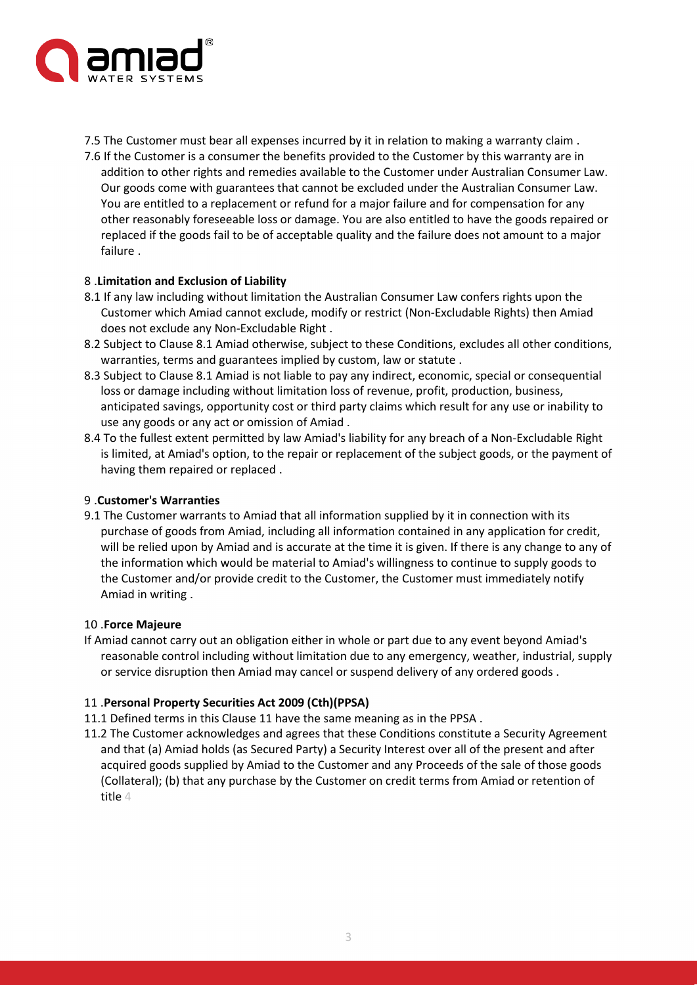

- 7.5 The Customer must bear all expenses incurred by it in relation to making a warranty claim .
- 7.6 If the Customer is a consumer the benefits provided to the Customer by this warranty are in addition to other rights and remedies available to the Customer under Australian Consumer Law. Our goods come with guarantees that cannot be excluded under the Australian Consumer Law. You are entitled to a replacement or refund for a major failure and for compensation for any other reasonably foreseeable loss or damage. You are also entitled to have the goods repaired or replaced if the goods fail to be of acceptable quality and the failure does not amount to a major failure .

### 8 .**Limitation and Exclusion of Liability**

- 8.1 If any law including without limitation the Australian Consumer Law confers rights upon the Customer which Amiad cannot exclude, modify or restrict (Non-Excludable Rights) then Amiad does not exclude any Non-Excludable Right .
- 8.2 Subject to Clause 8.1 Amiad otherwise, subject to these Conditions, excludes all other conditions, warranties, terms and guarantees implied by custom, law or statute .
- 8.3 Subject to Clause 8.1 Amiad is not liable to pay any indirect, economic, special or consequential loss or damage including without limitation loss of revenue, profit, production, business, anticipated savings, opportunity cost or third party claims which result for any use or inability to use any goods or any act or omission of Amiad .
- 8.4 To the fullest extent permitted by law Amiad's liability for any breach of a Non-Excludable Right is limited, at Amiad's option, to the repair or replacement of the subject goods, or the payment of having them repaired or replaced .

### 9 .**Customer's Warranties**

9.1 The Customer warrants to Amiad that all information supplied by it in connection with its purchase of goods from Amiad, including all information contained in any application for credit, will be relied upon by Amiad and is accurate at the time it is given. If there is any change to any of the information which would be material to Amiad's willingness to continue to supply goods to the Customer and/or provide credit to the Customer, the Customer must immediately notify Amiad in writing .

#### 10 .**Force Majeure**

If Amiad cannot carry out an obligation either in whole or part due to any event beyond Amiad's reasonable control including without limitation due to any emergency, weather, industrial, supply or service disruption then Amiad may cancel or suspend delivery of any ordered goods .

### 11 .**Personal Property Securities Act 2009 (Cth)(PPSA)**

- 11.1 Defined terms in this Clause 11 have the same meaning as in the PPSA .
- 11.2 The Customer acknowledges and agrees that these Conditions constitute a Security Agreement and that (a) Amiad holds (as Secured Party) a Security Interest over all of the present and after acquired goods supplied by Amiad to the Customer and any Proceeds of the sale of those goods (Collateral); (b) that any purchase by the Customer on credit terms from Amiad or retention of title 4